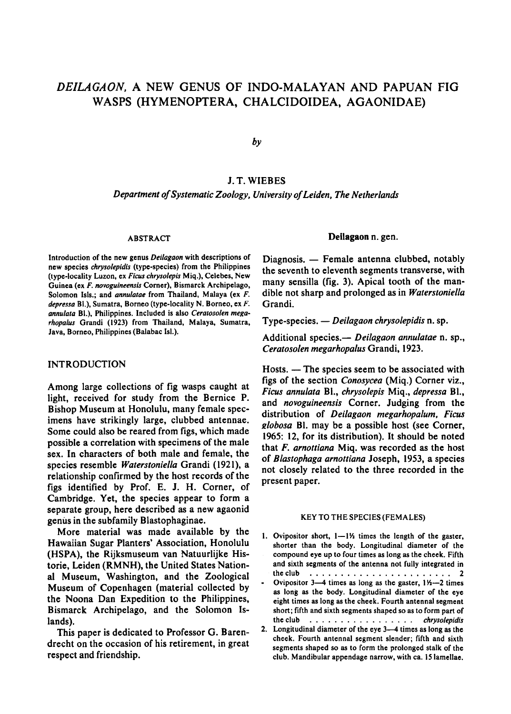# Deilagaon, <sup>a</sup> new genus of Indo-Malayan and Papuan fig wasps (Hymenoptera, Chalcidoidea, Agaonidae)

by

## J.T. Wiebes

Department of Systematic Zoology, University of Leiden, The Netherlands

#### **ABSTRACT**

Introduction of the new genus Deilagaon with descriptions of new species chrysolepidis (type-species) from the Philippines (type-locality Luzon, ex Ficus chrysolepis Miq.), Celebes, New Guinea (ex F. novoguineensis Corner), Bismarck Archipelago, Solomon Isls.; and *annulatae* from Thailand, Malaya (ex F. depressa Bl.), Sumatra, Borneo (type-locality N. Borneo, ex F. annulata Bl.), Philippines. Included is also Ceratosolen megarhopalus Grandi (1923) from Thailand, Malaya, Sumatra, Java, Borneo, Philippines(Balabac Isl.).

## INTRODUCTION

Among large collections of fig wasps caught at light, received for study from the Bernice P. Bishop Museum at Honolulu, many female specimens have strikingly large, clubbed antennae. Some could also be reared from figs, which made possible a correlation with specimens of the male sex. In characters of both male and female, the species resemble Waterstoniella Grandi (1921), <sup>a</sup> relationship confirmed by the host records of the figs identified by Prof. E. J. H. Corner, of Cambridge. Yet, the species appear to form <sup>a</sup> separate group, here described as <sup>a</sup> new agaonid genus in the subfamily Blastophaginae.

More material was made available by the Hawaiian Sugar Planters' Association, Honolulu (HSPA), the Rijksmuseum van Natuurlijke Historie, Leiden (RMNH), the United States National Museum, Washington, and the Zoological Museum of Copenhagen (material collected by the Noona Dan Expedition to the Philippines, Bismarck Archipelago, and the Solomon Islands).

This paper is dedicated to Professor G. Barendrecht on the occasion of his retirement, in great respect and friendship.

#### Deilagaon n. gen.

Diagnosis. — Female antenna clubbed, notably the seventh to eleventh segments transverse, with many sensilla (fig. 3). Apical tooth of the mandible not sharp and prolonged as in Waterstoniella Grandi.

Type-species. — Deilagaon chrysolepidis n. sp.

Additional species.— Deilagaon annulatae n. sp., Ceratosolen megarhopalus Grandi, 1923.

Hosts. — The species seem to be associated with figs of the section Conosycea (Miq.) Corner viz., Ficus annulata Bl., chrysolepis Miq., depressa Bl., and novoguineensis Corner. Judging from the distribution of Deilagaon megarhopalum, Ficus globosa Bl. may be <sup>a</sup> possible host (see Corner, 1965: 12, for its distribution). It should be noted that  $F$ . arnottiana Mig. was recorded as the host of Blastophaga arnottiana Joseph, 1953, <sup>a</sup> species not closely related to the three recorded in the present paper.

#### KEY TO THE SPECIES (FEMALES)

- 1. Ovipositor short,  $1-1\%$  times the length of the gaster, shorter than the body. Longitudinal diameter of the compound eye up to four times as long as the cheek. Fifth and sixth segments of the antenna not fully integrated in the club 2
- Ovipositor 3—4 times as long as the gaster,  $1\frac{1}{2}$  times as long as the body. Longitudinal diameter of the eye eight times as long as the cheek. Fourth antennal segment short; fifth and sixth segments shaped so asto form part of the club christ chrysolepidis
- 2. Longitudinal diameter of the eye 3—4 times as long as the cheek. Fourth antennal segment slender; fifth and sixth segments shaped so as to form the prolonged stalk of the club. Mandibular appendage narrow, with ca. <sup>15</sup> lamellae.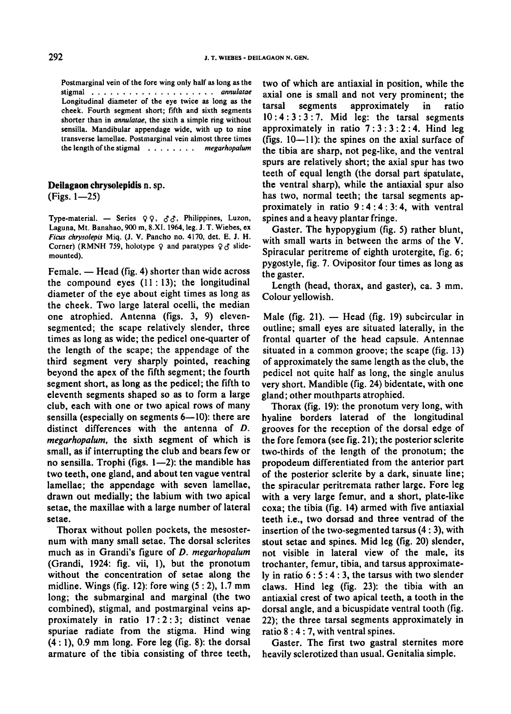Postmarginal vein of the fore wing only half as long as the stigmal annulatae Longitudinal diameter of the eye twice as long as the cheek. Fourth segment short; fifth and sixth segments shorter than in *annulatae*, the sixth a simple ring without sensilla. Mandibular appendage wide, with up to nine transverse lamellae. Postmarginal vein almost three times the length of the stigmal  $\ldots$ ,  $\ldots$ ,  $\ldots$  megarhopalum

Deilagaon chrysolepidis n. sp.  $(Figs. 1 - 25)$ 

Type-material. - Series  $99, 33$ , Philippines, Luzon, Laguna, Mt. Banahao, <sup>900</sup> m, 8.XI. 1964, leg. J. T. Wiebes, ex Ficus chrysolepis Miq. (J. V. Pancho no. 4170, det. E. J. H. Corner) (RMNH 759, holotype  $9$  and paratypes  $9 \leq \pi$  slidemounted).

Female. — Head (fig. 4) shorter than wide across the compound eyes  $(11:13)$ ; the longitudinal diameter of the eye about eight times as long as the cheek. Two large lateral ocelli, the median one atrophied. Antenna (figs. 3, 9) elevensegmented; the scape relatively slender, three times as long as wide; the pedicel one-quarter of the length of the scape; the appendage of the third segment very sharply pointed, reaching beyond the apex of the fifth segment; the fourth segment short, as long as the pedicel; the fifth to eleventh segments shaped so as to form <sup>a</sup> large club, each with one or two apical rows of many sensilla (especially on segments 6—10): there are distinct differences with the antenna of D. megarhopalum, the sixth segment of which is small, as if interrupting the club and bears few or no sensilla. Trophi (figs. 1—2): the mandible has two teeth, one gland, and about ten vague ventral lamellae; the appendage with seven lamellae, drawn out medially; the labium with two apical setae, the maxillae with <sup>a</sup> large number of lateral setae.

Thorax without pollen pockets, the mesosternum with many small setae. The dorsal sclerites much as in Grandi's figure of D. megarhopalum (Grandi, 1924: fig. vii, 1), but the pronotum without the concentration of setae along the midline. Wings (fig. 12): fore wing  $(5:2)$ , 1.7 mm long; the submarginal and marginal (the two combined), stigmal, and postmarginal veins approximately in ratio 17:2:3; distinct venae spuriae radiate from the stigma. Hind wing  $(4:1)$ , 0.9 mm long. Fore leg (fig. 8): the dorsal armature of the tibia consisting of three teeth,

two of which are antiaxial in position, while the axial one is small and not very prominent; the tarsal segments approximately in ratio  $10:4:3:3:7$ . Mid leg: the tarsal segments approximately in ratio  $7:3:3:2:4$ . Hind leg (figs. 10—11): the spines on the axial surface of the tibia are sharp, not peg-like, and the ventral spurs are relatively short; the axial spur has two teeth of equal length (the dorsal part spatulate, the ventral sharp), while the antiaxial spur also has two, normal teeth; the tarsal segments approximately in ratio  $9:4:4:3:4$ , with ventral spines and a heavy plantar fringe.

Gaster. The hypopygium (fig. 5) rather blunt, with small warts in between the arms of the V. Spiracular peritreme of eighth urotergite, fig. 6; pygostyle, fig. 7. Ovipositor four times as long as the gaster.

Length (head, thorax, and gaster), ca. <sup>3</sup> mm. Colour yellowish.

Male (fig. 21).  $-$  Head (fig. 19) subcircular in outline; small eyes are situated laterally, in the frontal quarter of the head capsule. Antennae situated in <sup>a</sup> common groove; the scape (fig. 13) of approximately the same length as the club, the pedicel not quite half as long, the single anulus very short. Mandible(fig. 24) bidentate, with one gland; other mouthparts atrophied.

Thorax (fig. 19): the pronotum very long, with hyaline borders laterad of the longitudinal grooves for the reception of the dorsal edge of the fore femora(see fig. 21); the posterior sclerite two-thirds of the length of the pronotum; the propodeum differentiated from the anterior part of the posterior sclerite by a dark, sinuate line; the spiracular peritremata rather large. Fore leg with a very large femur, and <sup>a</sup> short, plate-like coxa; the tibia (fig. 14) armed with five antiaxial teeth i.e., two dorsad and three ventrad of the insertion of the two-segmented tarsus (4 : 3), with stout setae and spines. Mid leg (fig. 20) slender, not visible in lateral view of the male, its trochanter, femur, tibia, and tarsus approximately in ratio  $6:5:4:3$ , the tarsus with two slender claws. Hind leg (fig. 23): the tibia with an antiaxial crest of two apical teeth, a tooth in the dorsal angle, and <sup>a</sup> bicuspidate ventral tooth (fig. 22); the three tarsal segments approximately in ratio 8:4:7, with ventral spines.

Gaster. The first two gastral sternites more heavily sclerotized than usual. Genitalia simple.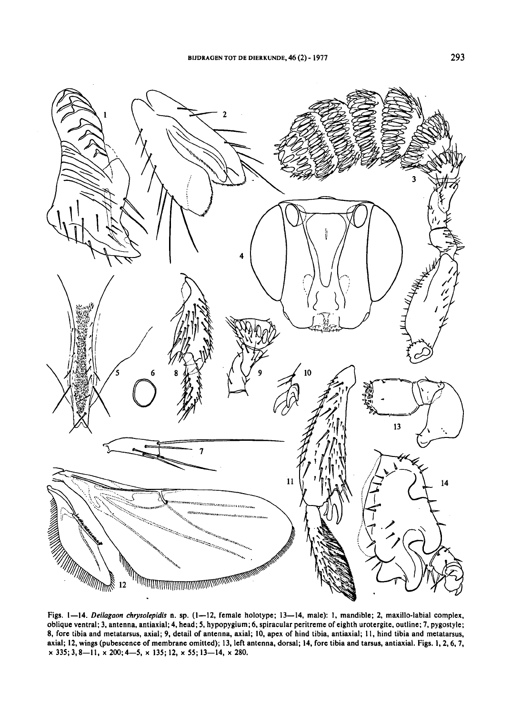

Figs. 1—14. Deilagaon chrysolepidis n. sp. (1—12, female holotype; 13—14, male): I, mandible; 2, maxillo-labial complex, oblique ventral; 3, antenna, antiaxial;4, head;5, hypopygium;6, spiracular peritreme ofeighth urotergite, outline; 7, pygostyle; 8, fore tibia and metatarsus, axial; 9, detail of antenna, axial; 10, apex of hind tibia, antiaxial; 11, hind tibia and metatarsus, axial; 12, wings (pubescence of membrane omitted); 13, left antenna, dorsal; 14, fore tibia and tarsus, antiaxial. Figs. 1, 2, 6, 7,  $\times$  335; 3, 8-11,  $\times$  200; 4-5,  $\times$  135; 12,  $\times$  55; 13-14,  $\times$  280.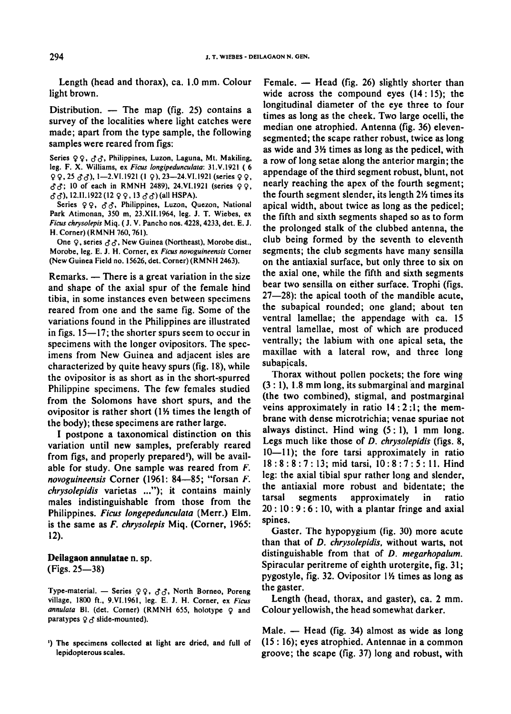Length (head and thorax), ca. 1.0 mm. Colour light brown.

Distribution. — The map (fig. 25) contains a survey of the localities where light catches were made; apart from the type sample, the following samples were reared from figs:

Series 9 9. <3S< Philippines, Luzon, Laguna, Mt. Makiling, leg. F. X. Williams, ex Ficus longipedunculata: 31.V.1921 ( 6  $99, 25 \text{ } \text{ } \text{ } 66$ ), 1-2.VI.1921 (1 9), 23-24.VI.1921 (series  $99,$  $c_1$ <sup>2</sup>, 10 of each in RMNH 2489), 24.VI.1921 (series 99,  $\partial \partial$ , 12.11.1922(12 99, 13  $\partial \partial$ )(all HSPA).

Series 99,  $33$ , Philippines, Luzon, Quezon, National Park Atimonan, 350 m, 23.XII.1964, leg. J. T. Wiebes, ex Ficus chrysolepis Miq.(J. V. Pancho nos.4228,4233, det. E. J. H. Corner) (RMNH 760,761).

One  $\varphi$ , series  $\partial \partial$ , New Guinea (Northeast), Morobe dist., Morobe, leg. E. J. H. Corner, ex Ficus novoguineensis Corner (New Guinea Field no. 15626, det. Corner) (RMNH 2463).

Remarks. — There is <sup>a</sup> great variation in the size and shape of the axial spur of the female hind tibia, in some instances even between specimens reared from one and the same fig. Some of the variations found in the Philippines are illustrated in figs. 15—17; the shorter spurs seem to occur in specimens with the longer ovipositors. The specimens from New Guinea and adjacent isles are characterized by quite heavy spurs (fig. 18), while the ovipositor is as short as in the short-spurred Philippine specimens. The few females studied from the Solomons have short spurs, and the ovipositor is rather short  $(1\frac{1}{2})$  times the length of the body); these specimens are rather large.

<sup>I</sup> postpone a taxonomical distinction on this variation until new samples, preferably reared from figs, and properly prepared <sup>1</sup> ), will be available for study. One sample was reared from F. novoguineensis Corner (1961: 84—85; "forsan F. chrysolepidis varietas ..."); it contains mainly males indistinguishable from those from the Philippines. Ficus longepedunculata (Merr.) Elm. is the same as F. chrysolepis Miq. (Corner, 1965: 12).

#### Deilagaon annulatae n. sp. (Figs. 25—38)

Type-material. — Series 99, 88, North Borneo, Poreng village, <sup>1800</sup> ft., 9.VI.1961, leg. E. J. H. Corner, ex Ficus annulata Bl. (det. Corner) (RMNH 655, holotype  $Q$  and paratypes  $9 \leq \delta$  slide-mounted).

') The specimens collected at light are dried, and full of lepidopterous scales.

Female. — Head (fig. 26) slightly shorter than wide across the compound eyes (14:15); the longitudinal diameter of the eye three to four times as long as the cheek. Two large ocelli, the median one atrophied. Antenna(fig. 36) elevensegmented; the scape rather robust, twice as long as wide and 3'A times as long as the pedicel, with a row of long setae along the anterior margin; the appendage of the third segment robust, blunt, not nearly reaching the apex of the fourth segment; the fourth segment slender, its length  $2\frac{1}{2}$  times its apical width, about twice as long as the pedicel; the fifth and sixth segments shaped so as to form the prolonged stalk of the clubbed antenna, the club being formed by the seventh to eleventh segments; the club segments have many sensilla on the antiaxial surface, but only three to six on the axial one, while the fifth and sixth segments bear two sensilla on either surface. Trophi (figs. 27—28): the apical tooth of the mandible acute, the subapical rounded; one gland; about ten ventral lamellae; the appendage with ca. <sup>15</sup> ventral lamellae, most of which are produced ventrally; the labium with one apical seta, the maxillae with a lateral row, and three long subapicals.

Thorax without pollen pockets; the fore wing (3 : 1), 1.8 mm long, its submarginal and marginal (the two combined), stigmal, and postmarginal veins approximately in ratio 14:2:1; the membrane with dense microtrichia; venae spuriae not always distinct. Hind wing  $(5:1)$ , 1 mm long. Legs much like those of D. chrysolepidis (figs. 8, 10—11); the fore tarsi approximately in ratio 18:8:8:7: 13; mid tarsi, 10:8:7:5: 11. Hind leg: the axial tibial spur rather long and slender, the antiaxial more robust and bidentate; the tarsal segments approximately in ratio  $20:10:9:6:10$ , with a plantar fringe and axial spines.

Gaster. The hypopygium (fig. 30) more acute than that of D. chrysolepidis, without warts, not distinguishable from that of D. megarhopalum. Spiracular peritreme of eighth urotergite, fig. 31; pygostyle, fig. 32. Ovipositor  $1\frac{1}{2}$  times as long as the gaster.

Length (head, thorax, and gaster), ca. <sup>2</sup> mm. Colour yellowish, the head somewhat darker.

Male. — Head (fig. 34) almost as wide as long (15 : 16); eyes atrophied. Antennae in <sup>a</sup> common groove; the scape (fig. 37) long and robust, with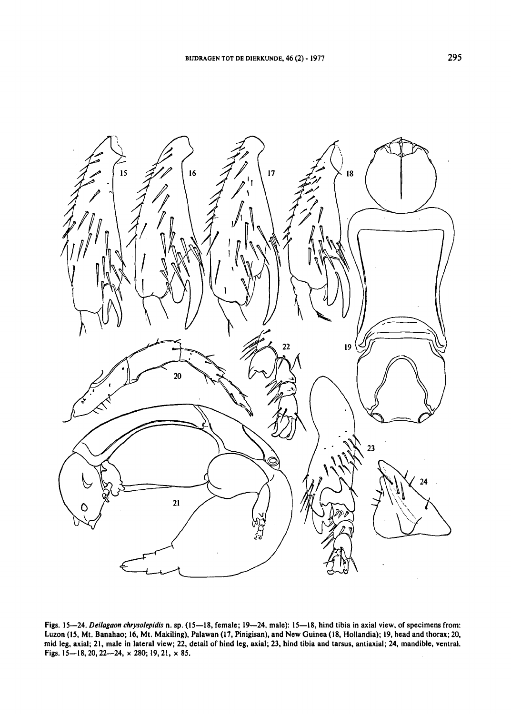

Figs. 15—24. Deilagaon chrysolepidis n. sp. (15—18, female; 19—24, male): 15—18, hind tibia in axial view, of specimens from: Luzon (15, Mt. Banahao; 16, Mt. Makiling), Palawan (17, Pinigisan), and New Guinea (18, Hollandia); 19, head and thorax; 20, mid leg, axial; 21, male in lateral view; 22, detail of hind leg, axial; 23, hind tibia and tarsus, antiaxial; 24, mandible, ventral. Figs. 15—18,20, 22—24, x 280; 19,21, x 85.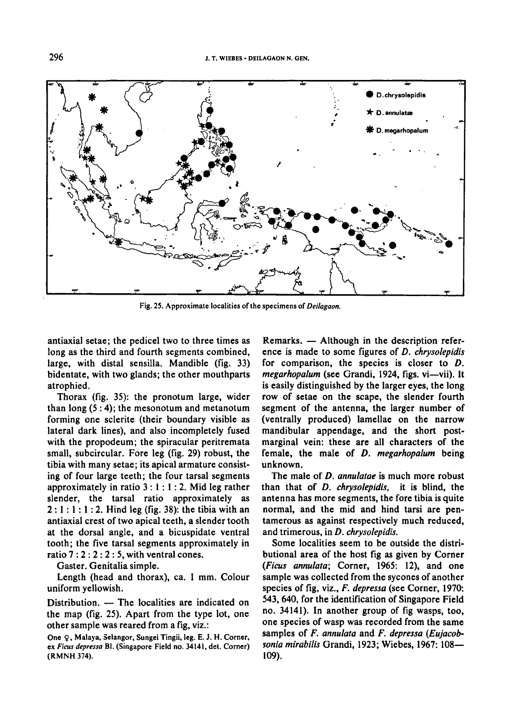

Fig. 25. Approximate localities of the specimens of Deilagaon.

antiaxial setae; the pedicel two to three times as long as the third and fourth segments combined, large, with distal sensilla. Mandible (fig. 33) bidentate, with two glands; the other mouthparts atrophied.

Thorax (fig. 35): the pronotum large, wider than long  $(5:4)$ ; the mesonotum and metanotum forming one sclerite (their boundary visible as lateral dark lines), and also incompletely fused with the propodeum; the spiracular peritremata small, subcircular. Fore leg (fig. 29) robust, the tibia with many setae; its apical armature consisting of four large teeth; the four tarsal segments approximately in ratio  $3:1:1:2$ . Mid leg rather slender, the tarsal ratio approximately as  $2:1:1:1:2$ . Hind leg (fig. 38): the tibia with an antiaxial crest of two apical teeth, a slender tooth at the dorsal angle, and a bicuspidate ventral tooth; the five tarsal segments approximately in ratio  $7:2:2:2:5$ , with ventral cones.

Gaster. Genitalia simple.

Length (head and thorax), ca. <sup>1</sup> mm. Colour uniform yellowish.

Distribution. — The localities are indicated on the map (fig. 25). Apart from the type lot, one other sample was reared from a fig, viz.:

One 9, Malaya, Selangor, Sungei Tingii, leg. E. J. H. Corner, ex Ficus depressa Bl. (Singapore Field no. 34141, det. Corner) (RMNH 374).

Remarks. — Although in the description refer ence is made to some figures of D. chrysolepidis for comparison, the species is closer to D. megarhopalum (see Grandi, 1924, figs, vi—vii). It is easily distinguished by the larger eyes, the long row of setae on the scape, the slender fourth segment of the antenna, the larger number of (ventrally produced) lamellae on the narrow mandibular appendage, and the short postmarginal vein: these are all characters of the female, the male of D. megarhopalum being unknown.

The male of D. annulatae is much more robust than that of D. chrysolepidis, it is blind, the antenna has more segments, the fore tibia is quite normal, and the mid and hind tarsi are pentamerous as against respectively much reduced, and trimerous, in D. chrysolepidis.

Some localities seem to be outside the distributional area of the host fig as given by Corner (Ficus annulata; Corner, 1965: 12), and one sample was collected from the sycones of another species of fig, viz., F. depressa (see Corner, 1970: 543, 640, for the identification of Singapore Field no. 34141). In another group of fig wasps, too, one species of wasp was recorded from the same samples of F. annulata and F. depressa (Eujacobsonia mirabilis Grandi, 1923; Wiebes, 1967: 108-109).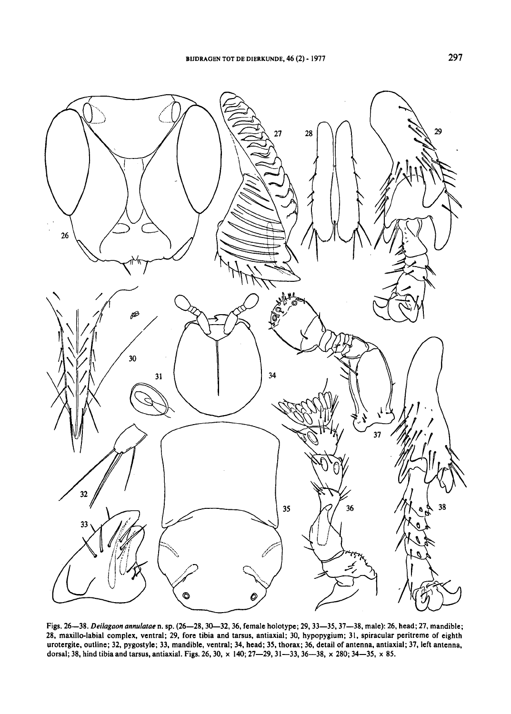

Figs. 26—38. Deilagaon annulatae n. sp. (26—28, 30—32, 36, female holotype; 29, 33—35, 37—38, male): 26, head; 27, mandible; 28, maxillo-labial complex, ventral; 29, fore tibia and tarsus, antiaxial; 30, hypopygium; 31, spiracular peritreme of eighth urotergite, outline; 32, pygostyle; 33, mandible, ventral; 34, head; 35, thorax; 36, detail of antenna, antiaxial; 37, left antenna, dorsal; 38, hind tibia and tarsus, antiaxial. Figs. 26, 30, x 140; 27—29,31—33,36—38, x 280; 34—35, x 85.